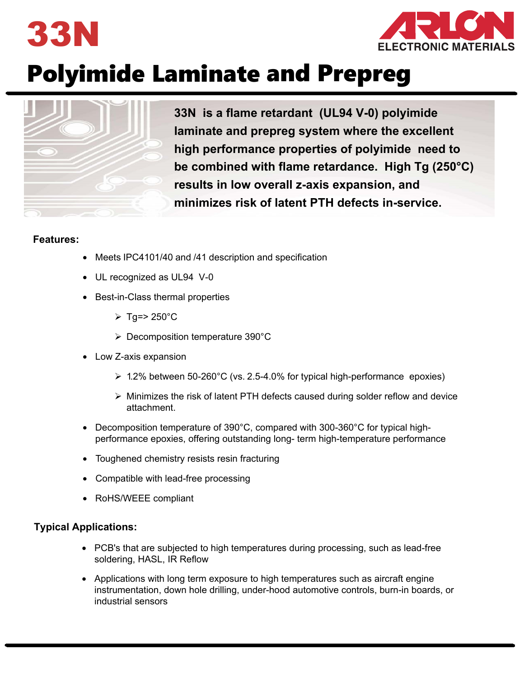



# Polyimide Laminate and Prepreg



**33N is a flame retardant (UL94 V-0) polyimide laminate and prepreg system where the excellent high performance properties of polyimide need to be combined with flame retardance. High Tg (250°C) results in low overall z-axis expansion, and minimizes risk of latent PTH defects in-service.**

#### **Features:**

- Meets IPC4101/40 and /41 description and specification
- UL recognized as UL94 V-0
- Best-in-Class thermal properties
	- $\triangleright$  Tg=> 250°C
	- Decomposition temperature 390°C
- Low Z-axis expansion
	- $\geq 1.2\%$  between 50-260°C (vs. 2.5-4.0% for typical high-performance epoxies)
	- $\triangleright$  Minimizes the risk of latent PTH defects caused during solder reflow and device attachment.
- Decomposition temperature of 390°C, compared with 300-360°C for typical highperformance epoxies, offering outstanding long- term high-temperature performance
- Toughened chemistry resists resin fracturing
- Compatible with lead-free processing
- RoHS/WEEE compliant

#### **Typical Applications:**

- PCB's that are subjected to high temperatures during processing, such as lead-free soldering, HASL, IR Reflow
- Applications with long term exposure to high temperatures such as aircraft engine instrumentation, down hole drilling, under-hood automotive controls, burn-in boards, or industrial sensors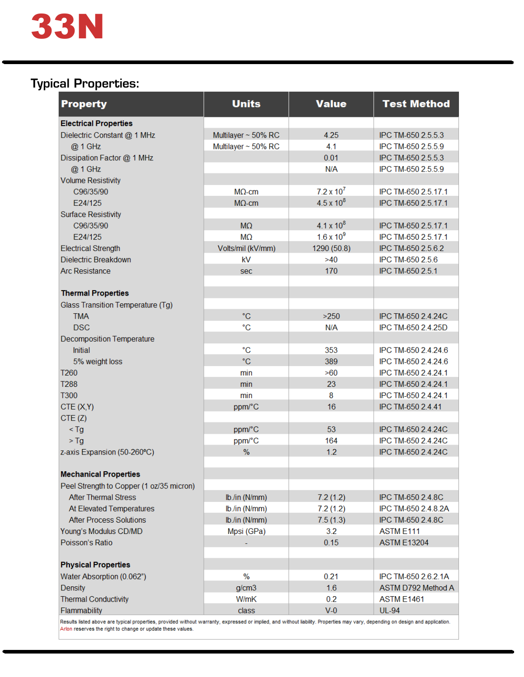

# Typical Properties:

| Multilayer ~ 50% RC<br>Multilayer ~ 50% RC<br>$M\Omega$ -cm<br>$M\Omega$ -cm<br>M <sub>2</sub><br><b>MQ</b><br>Volts/mil (kV/mm)<br>kV<br>sec<br>°C<br>°C | 4.25<br>4.1<br>0.01<br>N/A<br>$7.2 \times 10^7$<br>$4.5 \times 10^{8}$<br>$4.1 \times 10^{8}$<br>$1.6 x 10^9$<br>1290 (50.8)<br>>40<br>170<br>$>250$ |       | IPC TM-650 2.5.5.3<br>IPC TM-650 2.5.5.9<br>IPC TM-650 2.5.5.3<br>IPC TM-650 2.5.5.9<br>IPC TM-650 2.5.17.1<br>IPC TM-650 2.5.17.1<br>IPC TM-650 2.5.17.1<br>IPC TM-650 2.5.17.1<br>IPC TM-650 2.5.6.2<br>IPC TM-650 2.5.6<br>IPC TM-650 2.5.1<br>IPC TM-650 2.4.24C |
|-----------------------------------------------------------------------------------------------------------------------------------------------------------|------------------------------------------------------------------------------------------------------------------------------------------------------|-------|----------------------------------------------------------------------------------------------------------------------------------------------------------------------------------------------------------------------------------------------------------------------|
|                                                                                                                                                           |                                                                                                                                                      |       |                                                                                                                                                                                                                                                                      |
|                                                                                                                                                           |                                                                                                                                                      |       |                                                                                                                                                                                                                                                                      |
|                                                                                                                                                           |                                                                                                                                                      |       |                                                                                                                                                                                                                                                                      |
|                                                                                                                                                           |                                                                                                                                                      |       |                                                                                                                                                                                                                                                                      |
|                                                                                                                                                           |                                                                                                                                                      |       |                                                                                                                                                                                                                                                                      |
|                                                                                                                                                           |                                                                                                                                                      |       |                                                                                                                                                                                                                                                                      |
|                                                                                                                                                           |                                                                                                                                                      |       |                                                                                                                                                                                                                                                                      |
|                                                                                                                                                           |                                                                                                                                                      |       |                                                                                                                                                                                                                                                                      |
|                                                                                                                                                           |                                                                                                                                                      |       |                                                                                                                                                                                                                                                                      |
|                                                                                                                                                           |                                                                                                                                                      |       |                                                                                                                                                                                                                                                                      |
|                                                                                                                                                           |                                                                                                                                                      |       |                                                                                                                                                                                                                                                                      |
|                                                                                                                                                           |                                                                                                                                                      |       |                                                                                                                                                                                                                                                                      |
|                                                                                                                                                           |                                                                                                                                                      |       |                                                                                                                                                                                                                                                                      |
|                                                                                                                                                           |                                                                                                                                                      |       |                                                                                                                                                                                                                                                                      |
|                                                                                                                                                           |                                                                                                                                                      |       |                                                                                                                                                                                                                                                                      |
|                                                                                                                                                           |                                                                                                                                                      |       |                                                                                                                                                                                                                                                                      |
|                                                                                                                                                           |                                                                                                                                                      |       |                                                                                                                                                                                                                                                                      |
|                                                                                                                                                           |                                                                                                                                                      |       |                                                                                                                                                                                                                                                                      |
|                                                                                                                                                           |                                                                                                                                                      | N/A   | IPC TM-650 2.4.25D                                                                                                                                                                                                                                                   |
|                                                                                                                                                           |                                                                                                                                                      |       |                                                                                                                                                                                                                                                                      |
| °C                                                                                                                                                        | 353                                                                                                                                                  |       | IPC TM-650 2.4.24.6                                                                                                                                                                                                                                                  |
| °C                                                                                                                                                        | 389                                                                                                                                                  |       | IPC TM-650 2.4.24.6                                                                                                                                                                                                                                                  |
| min                                                                                                                                                       | >60                                                                                                                                                  |       | IPC TM-650 2.4.24.1                                                                                                                                                                                                                                                  |
| min                                                                                                                                                       | 23                                                                                                                                                   |       | IPC TM-650 2.4.24.1                                                                                                                                                                                                                                                  |
| min                                                                                                                                                       | 8                                                                                                                                                    |       | IPC TM-650 2.4.24.1                                                                                                                                                                                                                                                  |
| ppm/°C                                                                                                                                                    | 16                                                                                                                                                   |       | IPC TM-650 2.4.41                                                                                                                                                                                                                                                    |
|                                                                                                                                                           |                                                                                                                                                      |       |                                                                                                                                                                                                                                                                      |
|                                                                                                                                                           |                                                                                                                                                      |       | IPC TM-650 2.4.24C                                                                                                                                                                                                                                                   |
|                                                                                                                                                           |                                                                                                                                                      |       | IPC TM-650 2.4.24C                                                                                                                                                                                                                                                   |
| %                                                                                                                                                         |                                                                                                                                                      |       | IPC TM-650 2.4.24C                                                                                                                                                                                                                                                   |
|                                                                                                                                                           |                                                                                                                                                      |       |                                                                                                                                                                                                                                                                      |
|                                                                                                                                                           |                                                                                                                                                      |       |                                                                                                                                                                                                                                                                      |
|                                                                                                                                                           |                                                                                                                                                      |       |                                                                                                                                                                                                                                                                      |
|                                                                                                                                                           |                                                                                                                                                      |       | IPC TM-650 2.4.8C                                                                                                                                                                                                                                                    |
|                                                                                                                                                           |                                                                                                                                                      |       | IPC TM-650 2.4.8.2A                                                                                                                                                                                                                                                  |
|                                                                                                                                                           |                                                                                                                                                      |       | IPC TM-650 2.4.8C                                                                                                                                                                                                                                                    |
|                                                                                                                                                           |                                                                                                                                                      |       | ASTM E111                                                                                                                                                                                                                                                            |
|                                                                                                                                                           |                                                                                                                                                      |       | <b>ASTM E13204</b>                                                                                                                                                                                                                                                   |
|                                                                                                                                                           |                                                                                                                                                      |       |                                                                                                                                                                                                                                                                      |
|                                                                                                                                                           |                                                                                                                                                      |       |                                                                                                                                                                                                                                                                      |
|                                                                                                                                                           |                                                                                                                                                      |       | IPC TM-650 2.6.2.1A                                                                                                                                                                                                                                                  |
|                                                                                                                                                           |                                                                                                                                                      |       | ASTM D792 Method A                                                                                                                                                                                                                                                   |
|                                                                                                                                                           |                                                                                                                                                      |       | <b>ASTM E1461</b>                                                                                                                                                                                                                                                    |
|                                                                                                                                                           |                                                                                                                                                      |       |                                                                                                                                                                                                                                                                      |
|                                                                                                                                                           | ppm/°C<br>ppm/°C<br>lb./in (N/mm)<br>lb./in (N/mm)<br>lb./in (N/mm)<br>Mpsi (GPa)<br>$\%$                                                            | g/cm3 | 53<br>164<br>1.2<br>7.2(1.2)<br>7.2(1.2)<br>7.5(1.3)<br>3.2<br>0.15<br>0.21<br>1.6<br>W/mK<br>0.2                                                                                                                                                                    |

: are typ аі ргореп Arlon reserves the right to change or update these values.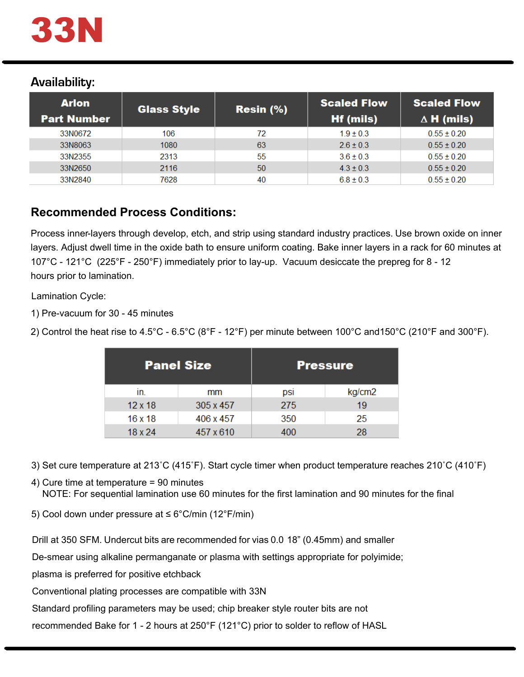

# Availability:

| <b>Arlon</b><br><b>Part Number</b> | <b>Glass Style</b> | $Resin (\% )$ | <b>Scaled Flow</b><br><b>Hf (mils)</b> | <b>Scaled Flow</b><br>$\Delta$ H (mils) |
|------------------------------------|--------------------|---------------|----------------------------------------|-----------------------------------------|
| 33N0672                            | 106                | 72            | $1.9 \pm 0.3$                          | $0.55 \pm 0.20$                         |
| 33N8063                            | 1080               | 63            | $2.6 \pm 0.3$                          | $0.55 \pm 0.20$                         |
| 33N2355                            | 2313               | 55            | $3.6 \pm 0.3$                          | $0.55 \pm 0.20$                         |
| 33N2650                            | 2116               | 50            | $4.3 \pm 0.3$                          | $0.55 \pm 0.20$                         |
| 33N2840                            | 7628               | 40            | $6.8 \pm 0.3$                          | $0.55 \pm 0.20$                         |

# **Recommended Process Conditions:**

Process inner-layers through develop, etch, and strip using standard industry practices. Use brown oxide on inner layers. Adjust dwell time in the oxide bath to ensure uniform coating. Bake inner layers in a rack for 60 minutes at 107°C - 121°C (225°F - 250°F) immediately prior to lay-up. Vacuum desiccate the prepreg for 8 - 12 hours prior to lamination.

Lamination Cycle:

1) Pre-vacuum for  $30$  - 45 minutes

2) Control the heat rise to 4.5°C - 6.5°C (8°F - 12°F) per minute between 100°C and150°C (210°F and 300°F).  $6.65$  $12<sup>c</sup>$  $\overline{p}$  $n^{\circ}$  $n \cdot \sigma$ 

| <b>Panel Size</b> |           | <b>Pressure</b> |        |  |
|-------------------|-----------|-----------------|--------|--|
| In.               | mm        | DSI             | kg/cm2 |  |
| $12 \times 18$    | 305 x 457 | 275             | 19     |  |
| 16x18             | 406 x 457 | 350             | 25     |  |
| $18 \times 24$    | 457 x 610 | 400             | 28     |  |

3) Set cure temperature at 213˚C (415˚F). Start cycle timer when product temperature reaches 210˚C (410˚F)

4) Cure time at temperature = 90 minutes

NOTE: For sequential lamination use 60 minutes for the first lamination and 90 minutes for the final

5) Cool down under pressure at ≤ 6°C/min (12°F/min)

Drill at 350 SFM. Undercut bits are recommended for vias 0.0 18" (0.45mm) and smaller

De-smear using alkaline permanganate or plasma with settings appropriate for polyimide;

plasma is preferred for positive etchback

Conventional plating processes are compatible with 33N

Standard profiling parameters may be used; chip breaker style router bits are not

recommended Bake for 1 - 2 hours at 250°F (121°C) prior to solder to reflow of HASL